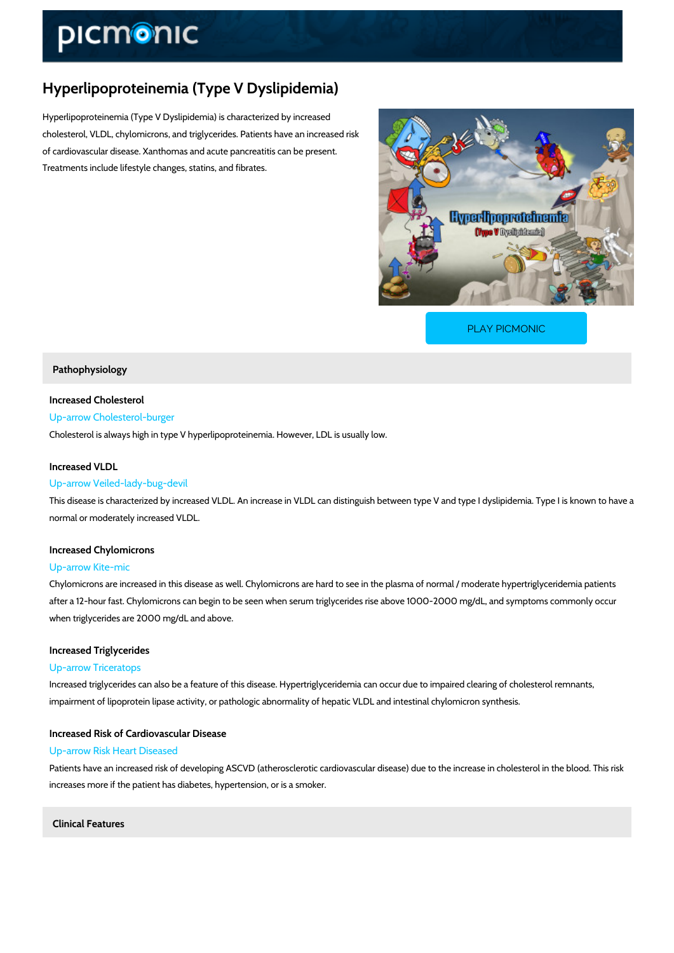# Hyperlipoproteinemia (Type V Dyslipidemia)

Hyperlipoproteinemia (Type V Dyslipidemia) is characterized by increased cholesterol, VLDL, chylomicrons, and triglycerides. Patients have an increased risk of cardiovascular disease. Xanthomas and acute pancreatitis can be present. Treatments include lifestyle changes, statins, and fibrates.

[PLAY PICMONIC](https://www.picmonic.com/learn/hyperlipoproteinemia-type-v-dyslipidemia_50351?utm_source=downloadable_content&utm_medium=distributedcontent&utm_campaign=pathways_pdf&utm_content=Hyperlipoproteinemia (Type V Dyslipidemia)&utm_ad_group=leads&utm_market=all)

# Pathophysiology

# Increased Cholesterol

# Up-arrow Cholesterol-burger

Cholesterol is always high in type V hyperlipoproteinemia. However, LDL is usually low.

# Increased VLDL

#### Up-arrow Veiled-lady-bug-devil

This disease is characterized by increased VLDL. An increase in VLDL can distinguish betwee normal or moderately increased VLDL.

# Increased Chylomicrons

# Up-arrow Kite-mic

Chylomicrons are increased in this disease as well. Chylomicrons are hard to see in the plasm after a 12-hour fast. Chylomicrons can begin to be seen when serum triglycerides rise above when triglycerides are 2000 mg/dL and above.

# Increased Triglycerides

# Up-arrow Triceratops

Increased triglycerides can also be a feature of this disease. Hypertriglyceridemia can occur impairment of lipoprotein lipase activity, or pathologic abnormality of hepatic VLDL and intest

# Increased Risk of Cardiovascular Disease

# Up-arrow Risk Heart Diseased

Patients have an increased risk of developing ASCVD (atherosclerotic cardiovascular disease) increases more if the patient has diabetes, hypertension, or is a smoker.

Clinical Features